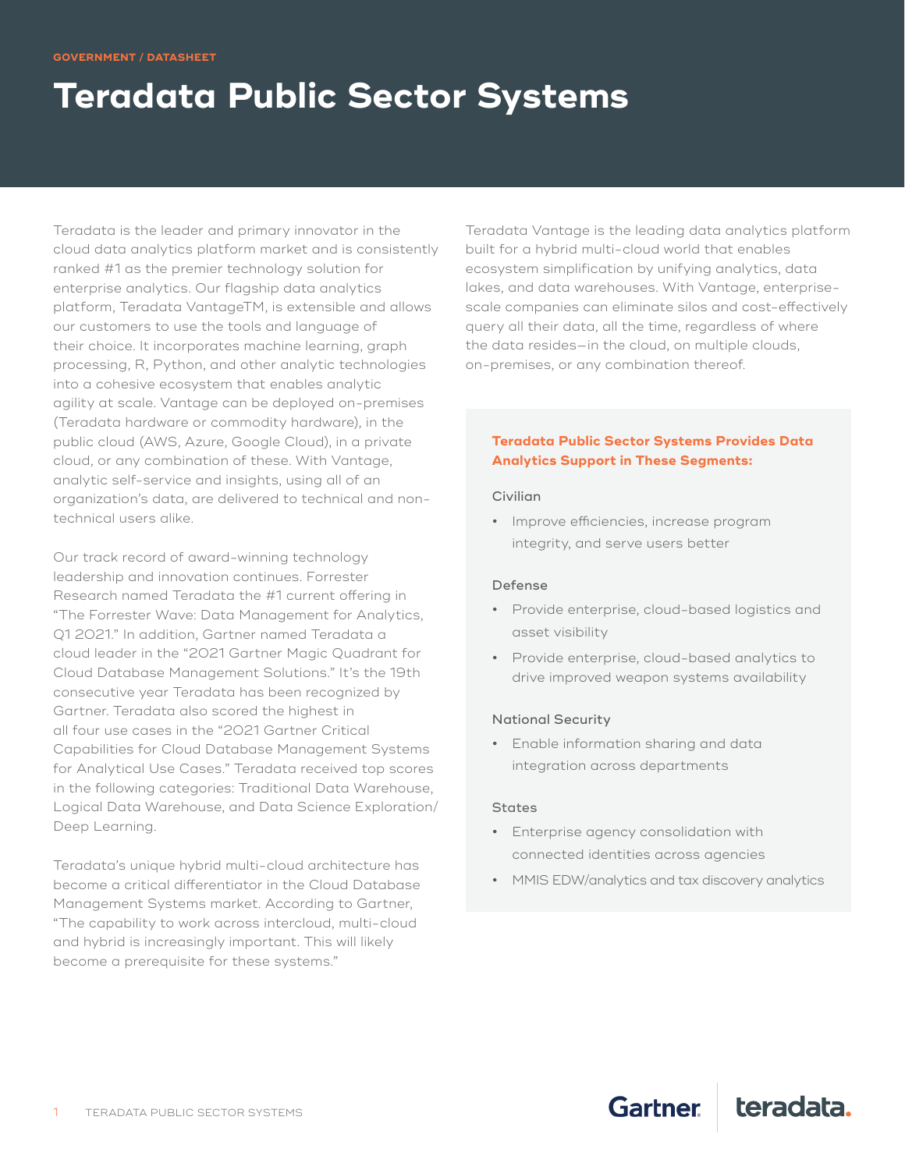### **GOVERNMENT / DATASHEET**

# **Teradata Public Sector Systems**

Teradata is the leader and primary innovator in the cloud data analytics platform market and is consistently ranked #1 as the premier technology solution for enterprise analytics. Our flagship data analytics platform, Teradata VantageTM, is extensible and allows our customers to use the tools and language of their choice. It incorporates machine learning, graph processing, R, Python, and other analytic technologies into a cohesive ecosystem that enables analytic agility at scale. Vantage can be deployed on-premises (Teradata hardware or commodity hardware), in the public cloud (AWS, Azure, Google Cloud), in a private cloud, or any combination of these. With Vantage, analytic self-service and insights, using all of an organization's data, are delivered to technical and nontechnical users alike.

Our track record of award-winning technology leadership and innovation continues. Forrester Research named Teradata the #1 current offering in "The Forrester Wave: Data Management for Analytics, Q1 2021." In addition, Gartner named Teradata a cloud leader in the "2021 Gartner Magic Quadrant for Cloud Database Management Solutions." It's the 19th consecutive year Teradata has been recognized by Gartner. Teradata also scored the highest in all four use cases in the "2021 Gartner Critical Capabilities for Cloud Database Management Systems for Analytical Use Cases." Teradata received top scores in the following categories: Traditional Data Warehouse, Logical Data Warehouse, and Data Science Exploration/ Deep Learning.

Teradata's unique hybrid multi-cloud architecture has become a critical differentiator in the Cloud Database Management Systems market. According to Gartner, "The capability to work across intercloud, multi-cloud and hybrid is increasingly important. This will likely become a prerequisite for these systems."

Teradata Vantage is the leading data analytics platform built for a hybrid multi-cloud world that enables ecosystem simplification by unifying analytics, data lakes, and data warehouses. With Vantage, enterprisescale companies can eliminate silos and cost-effectively query all their data, all the time, regardless of where the data resides—in the cloud, on multiple clouds, on-premises, or any combination thereof.

### **Teradata Public Sector Systems Provides Data Analytics Support in These Segments:**

#### Civilian

**•** Improve efficiencies, increase program integrity, and serve users better

#### Defense

- **•** Provide enterprise, cloud-based logistics and asset visibility
- **•** Provide enterprise, cloud-based analytics to drive improved weapon systems availability

#### National Security

**•** Enable information sharing and data integration across departments

#### **States**

- **•** Enterprise agency consolidation with connected identities across agencies
- **•** MMIS EDW/analytics and tax discovery analytics

**Gartner** 

teradata.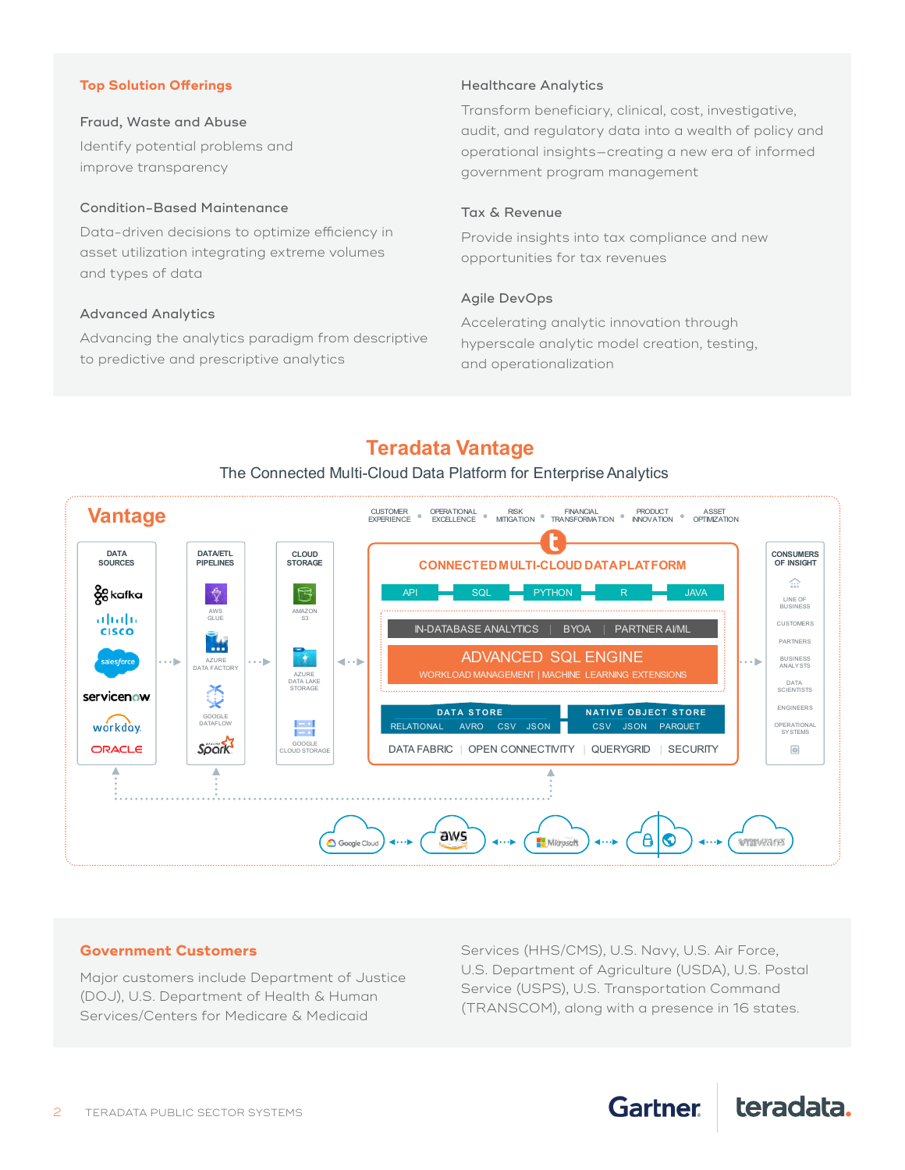### **Top Solution Offerings**

### Fraud, Waste and Abuse

Identify potential problems and improve transparency

#### Condition-Based Maintenance

Data-driven decisions to optimize efficiency in asset utilization integrating extreme volumes and types of data

#### Advanced Analytics

Advancing the analytics paradigm from descriptive to predictive and prescriptive analytics

### Healthcare Analytics

Transform beneficiary, clinical, cost, investigative, audit, and regulatory data into a wealth of policy and operational insights—creating a new era of informed government program management

### Tax & Revenue

Provide insights into tax compliance and new opportunities for tax revenues

### Agile DevOps

Accelerating analytic innovation through hyperscale analytic model creation, testing, and operationalization

# **Teradata Vantage**



### The Connected Multi-Cloud Data Platform for Enterprise Analytics

### **Government Customers**

Major customers include Department of Justice (DOJ), U.S. Department of Health & Human Services/Centers for Medicare & Medicaid

Services (HHS/CMS), U.S. Navy, U.S. Air Force, U.S. Department of Agriculture (USDA), U.S. Postal Service (USPS), U.S. Transportation Command (TRANSCOM), along with a presence in 16 states.

**Gartner** 

teradata.